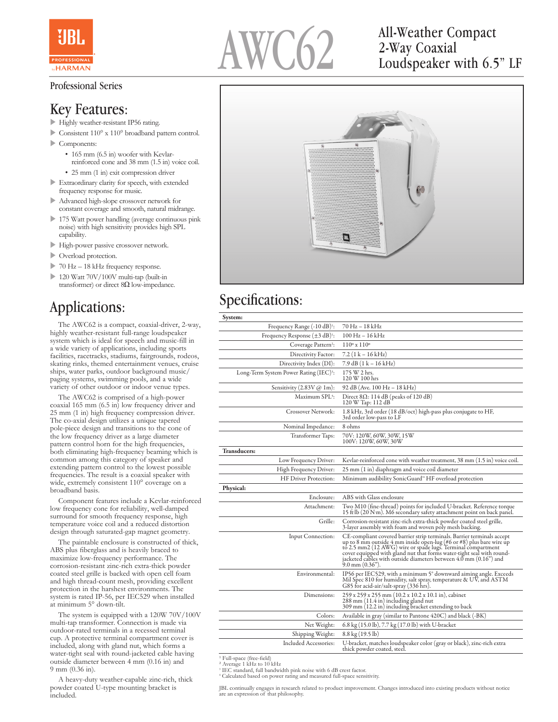

#### Professional Series

#### Key Features:

- Highly weather-resistant IP56 rating.
- $\triangleright$  Consistent 110° x 110° broadband pattern control.
- $\triangleright$  Components:
	- 165 mm (6.5 in) woofer with Kevlarreinforced cone and 38 mm (1.5 in) voice coil.
	- 25 mm (1 in) exit compression driver
- $\blacktriangleright$  Extraordinary clarity for speech, with extended frequency response for music.
- u Advanced high-slope crossover network for constant coverage and smooth, natural midrange.
- $\triangleright$  175 Watt power handling (average continuous pink noise) with high sensitivity provides high SPL capability.
- High-power passive crossover network.
- $\blacktriangleright$  Overload protection.
- $\triangleright$  70 Hz 18 kHz frequency response.
- $\geq 120$  Watt 70V/100V multi-tap (built-in transformer) or direct  $8\Omega$  low-impedance.

## Applications:

 The AWC62 is a compact, coaxial-driver, 2-way, highly weather-resistant full-range loudspeaker system which is ideal for speech and music-fill in a wide variety of applications, including sports facilities, racetracks, stadiums, fairgrounds, rodeos, skating rinks, themed entertainment venues, cruise ships, water parks, outdoor background music/ paging systems, swimming pools, and a wide variety of other outdoor or indoor venue types.

 The AWC62 is comprised of a high-power coaxial 165 mm (6.5 in) low frequency driver and 25 mm (1 in) high frequency compression driver. The co-axial design utilizes a unique tapered pole-piece design and transitions to the cone of the low frequency driver as a large diameter pattern control horn for the high frequencies, both eliminating high-frequency beaming which is common among this category of speaker and extending pattern control to the lowest possible frequencies. The result is a coaxial speaker with wide, extremely consistent 110° coverage on a broadband basis.

 Component features include a Kevlar-reinforced low frequency cone for reliability, well-damped surround for smooth frequency response, high temperature voice coil and a reduced distortion design through saturated-gap magnet geometry.

 The paintable enclosure is constructed of thick, ABS plus fiberglass and is heavily braced to maximize low-frequency performance. The corrosion-resistant zinc-rich extra-thick powder coated steel grille is backed with open cell foam and high thread-count mesh, providing excellent protection in the harshest environments. The system is rated IP-56, per IEC529 when installed at minimum 5° down-tilt.

 The system is equipped with a 120W 70V/100V multi-tap transformer. Connection is made via outdoor-rated terminals in a recessed terminal cup. A protective terminal compartment cover is included, along with gland nut, which forms a water-tight seal with round-jacketed cable having outside diameter between 4 mm (0.16 in) and 9 mm (0.36 in).

 A heavy-duty weather-capable zinc-rich, thick powder coated U-type mounting bracket is included.



# 2-Way Coaxial Loudspeaker with 6.5" LF



#### Specifications:

| System:                                     |                                                                                                                                                                                                                                                                                                                                                                                               |
|---------------------------------------------|-----------------------------------------------------------------------------------------------------------------------------------------------------------------------------------------------------------------------------------------------------------------------------------------------------------------------------------------------------------------------------------------------|
| Frequency Range (-10 dB) <sup>1</sup> :     | 70 Hz – 18 kHz                                                                                                                                                                                                                                                                                                                                                                                |
| Frequency Response $(\pm 3 \text{ dB})^1$ : | 100 Hz – 16 kHz                                                                                                                                                                                                                                                                                                                                                                               |
| Coverage Pattern <sup>2</sup> :             | $110°$ x $110°$                                                                                                                                                                                                                                                                                                                                                                               |
| Directivity Factor:                         | $7.2(1 k - 16 kHz)$                                                                                                                                                                                                                                                                                                                                                                           |
| Directivity Index (DI):                     | 7.9 dB (1 k – 16 kHz)                                                                                                                                                                                                                                                                                                                                                                         |
| Long-Term System Power Rating (IEC)3:       | 175 W 2 hrs.<br>120 W 100 hrs                                                                                                                                                                                                                                                                                                                                                                 |
| Sensitivity (2.83V @ 1m):                   | 92 dB (Ave. 100 Hz – 18 kHz)                                                                                                                                                                                                                                                                                                                                                                  |
| Maximum SPL <sup>4</sup> :                  | Direct $8\Omega$ : 114 dB (peaks of 120 dB)<br>120 W Tap: 112 dB                                                                                                                                                                                                                                                                                                                              |
| Crossover Network:                          | 1.8 kHz, 3rd order (18 dB/oct) high-pass plus conjugate to HF,<br>3rd order low-pass to LF                                                                                                                                                                                                                                                                                                    |
| Nominal Impedance:                          | 8 ohms                                                                                                                                                                                                                                                                                                                                                                                        |
| Transformer Taps:                           | 70V: 120W, 60W, 30W, 15W<br>100V: 120W, 60W, 30W                                                                                                                                                                                                                                                                                                                                              |
| <b>Transducers:</b>                         |                                                                                                                                                                                                                                                                                                                                                                                               |
| Low Frequency Driver:                       | Kevlar-reinforced cone with weather treatment, 38 mm (1.5 in) voice coil.                                                                                                                                                                                                                                                                                                                     |
| High Frequency Driver:                      | 25 mm (1 in) diaphragm and voice coil diameter                                                                                                                                                                                                                                                                                                                                                |
| HF Driver Protection:                       | Minimum audibility SonicGuard <sup>®</sup> HF overload protection                                                                                                                                                                                                                                                                                                                             |
| Physical:                                   |                                                                                                                                                                                                                                                                                                                                                                                               |
| Enclosure:                                  | ABS with Glass enclosure                                                                                                                                                                                                                                                                                                                                                                      |
| Attachment:                                 | Two M10 (fine-thread) points for included U-bracket. Reference torque<br>15 ft lb (20 N·m). M6 secondary safety attachment point on back panel.                                                                                                                                                                                                                                               |
| Grille:                                     | Corrosion-resistant zinc-rich extra-thick powder coated steel grille,<br>3-layer assembly with foam and woven poly mesh backing.                                                                                                                                                                                                                                                              |
| Input Connection:                           | CE-compliant covered barrier strip terminals. Barrier terminals accept<br>up to 8 mm outside 4 mm inside open-lug (#6 or #8) plus bare wire up<br>to 2.5 mm2 (12 AWG) wire or spade lugs. Terminal compartment<br>cover equipped with gland nut that forms water-tight seal with round-<br>jacketed cables with outside diameters between $4.0 \text{ mm}$ (0.16") and<br>$9.0$ mm $(0.36)$ . |
| Environmental:                              | IP56 per IEC529, with a minimum 5° downward aiming angle. Exceeds<br>Mil Spec 810 for humidity, salt spray, temperature & UV, and ASTM<br>G85 for acid-air/salt-spray (336 hrs).                                                                                                                                                                                                              |
| Dimensions:                                 | 259 x 259 x 255 mm (10.2 x 10.2 x 10.1 in), cabinet<br>288 mm (11.4 in) including gland nut<br>309 mm (12.2 in) including bracket extending to back                                                                                                                                                                                                                                           |
| Colors:                                     | Available in gray (similar to Pantone 420C) and black (-BK)                                                                                                                                                                                                                                                                                                                                   |
| Net Weight:                                 | 6.8 kg (15.0 lb), 7.7 kg (17.0 lb) with U-bracket                                                                                                                                                                                                                                                                                                                                             |
| Shipping Weight:                            | 8.8 kg (19.5 lb)                                                                                                                                                                                                                                                                                                                                                                              |
| Included Accessories:                       | U-bracket, matches loudspeaker color (gray or black), zinc-rich extra<br>thick powder coated, steel.                                                                                                                                                                                                                                                                                          |

<sup>1</sup> Full-space (free-field)<br><sup>2</sup> Average 1 kHz to 10 kHz

3 IEC standard, full bandwidth pink noise with 6 dB crest factor. 4 Calculated based on power rating and measured full-space sensitivity.

JBL continually engages in research related to product improvement. Changes introduced into existing products without notice are an expression of that philosophy.